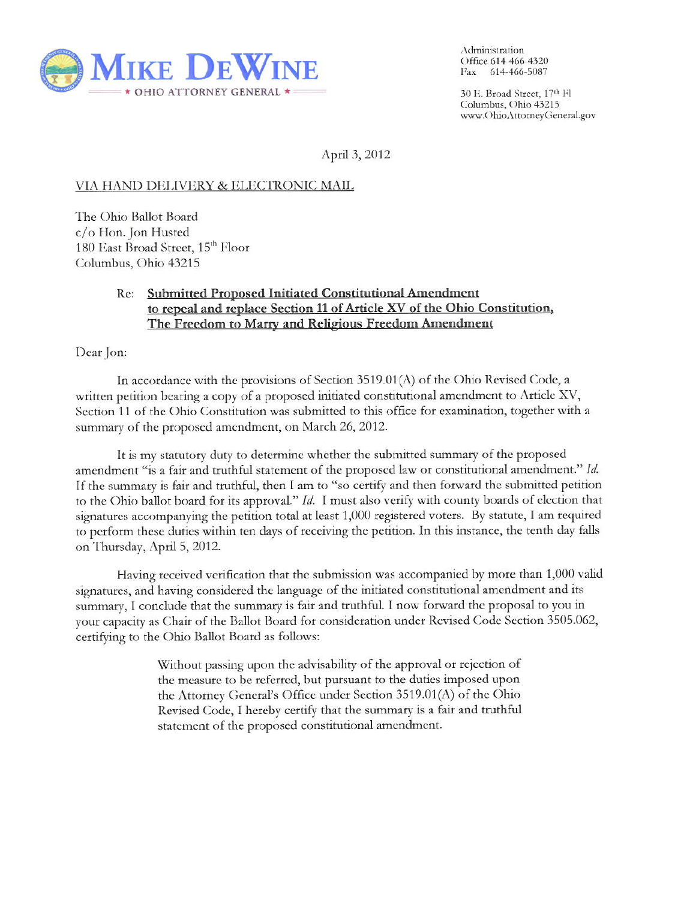

Administration Office 614 466-4320 Fax 614-466-5087

30 E. Broad Street, 17th Fl Columbus, Ohio 43215 www.OhioAttorneyGeneral.gov

April 3, 2012

## VIA HAND DELIVERY & ELECTRONIC MAIL

The Ohio Ballot Board c/o Hon. Jon Husted 180 East Broad Street, 15<sup>th</sup> Floor Columbus, Ohio 43215

## Re: Submitted Proposed Initiated Constitutional Amendment to repeal and replace Section 11 of Article XV of the Ohio Constitution, The Freedom to Marry and Religious Freedom Amendment

Dear Jon:

In accordance with the provisions of Section  $3519.01(A)$  of the Ohio Revised Code, a written petition bearing a copy of a proposed initiated constitutional amendment to Article XV, Section 11 of the Ohio Constitution was submitted to this office for examination, together with a summary of the proposed amendment, on March 26, 2012.

It is my statutory duty to determine whether the submitted summary of the proposed amendment "is a fair and truthful statement of the proposed law or constitutional amendment." Id. If the summary is fair and truthful, then I am to "so certify and then forward the submitted petition to the Ohio ballot board for its approval." Id. I must also verify with county boards of election that signatures accompanying the petition total at least 1,000 registered voters. By statute, I am required to perform these duties within ten days of receiving the petition. In this instance, the tenth day falls on Thursday, April 5, 2012.

Having received verification that the submission was accompanied by more than 1,000 valid signatures, and having considered the language of the initiated constitutional amendment and its summary, I conclude that the summary is fair and truthful. I now forward the proposal to you in your capacity as Chair of the Ballot Board for consideration under Revised Code Section 3505.062, certifying to the Ohio Ballot Board as follows:

> Without passing upon the advisability of the approval or rejection of the measure to be referred, but pursuant to the duties imposed upon the Attorney General's Office under Section 3519.01(A) of the Ohio Revised Code, I hereby certify that the summary is a fair and truthful statement of the proposed constitutional amendment.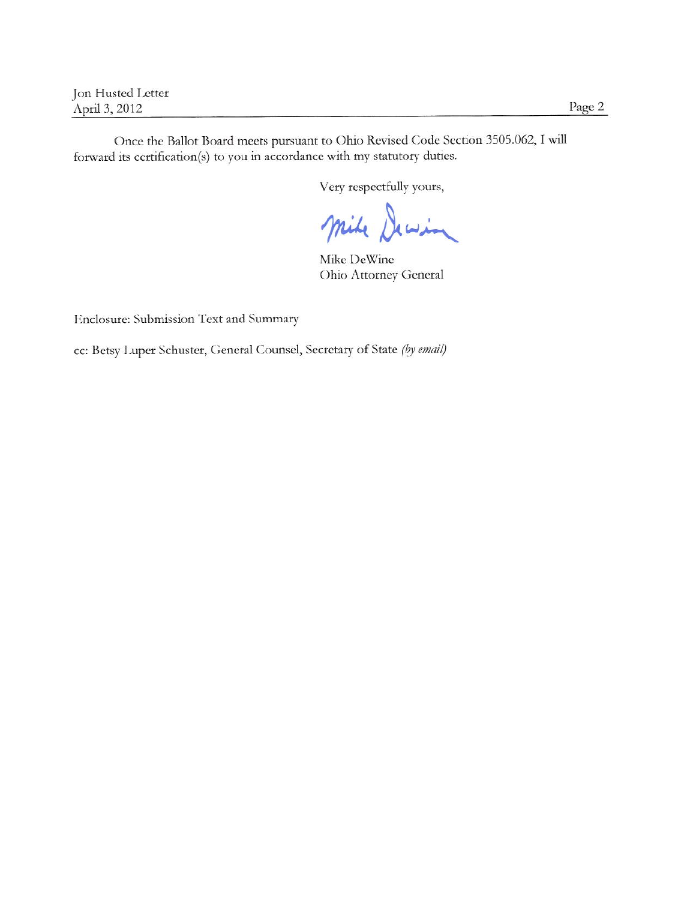Jon Husted Letter April 3, 2012

Once the Ballot Board meets pursuant to Ohio Revised Code Section 3505.062, I will forward its certification(s) to you in accordance with my statutory duties.

Very respectfully yours,

Mile Dewin

Mike DeWine Ohio Attorney General

Enclosure: Submission Text and Summary

cc: Betsy Luper Schuster, General Counsel, Secretary of State (by email)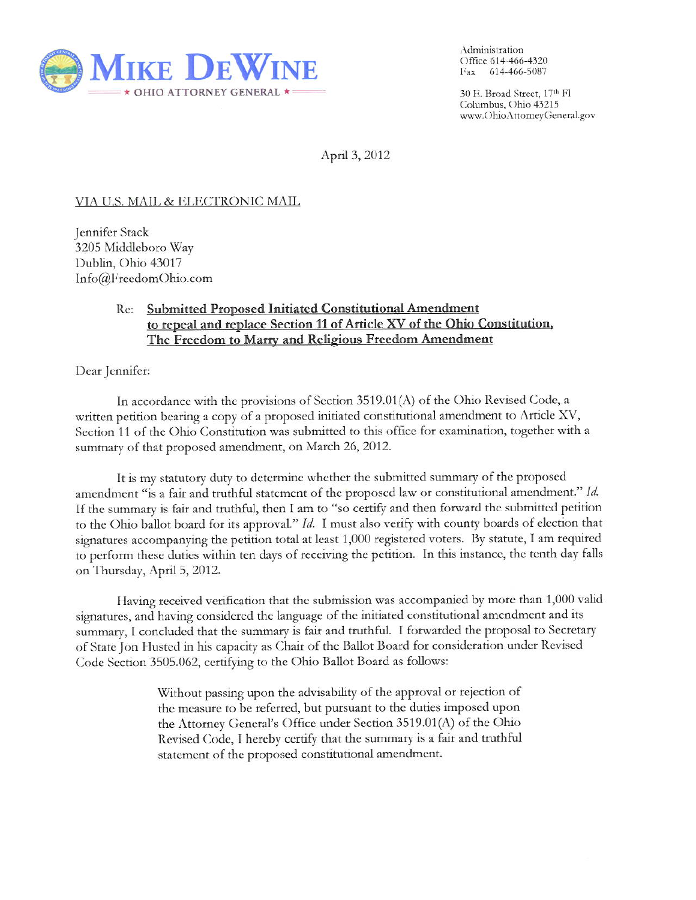

Administration Office 614-466-4320 Fax 614-466-5087

30 E. Broad Street, 17th Fl Columbus, Ohio 43215 www.OhioAttorneyGeneral.gov

April 3, 2012

## VIA U.S. MAIL & ELECTRONIC MAIL

Jennifer Stack 3205 Middleboro Way Dublin, Ohio 43017 Info@FreedomOhio.com

## **Submitted Proposed Initiated Constitutional Amendment** Re: to repeal and replace Section 11 of Article XV of the Ohio Constitution, The Freedom to Marry and Religious Freedom Amendment

Dear Jennifer:

In accordance with the provisions of Section  $3519.01(A)$  of the Ohio Revised Code, a written petition bearing a copy of a proposed initiated constitutional amendment to Article XV, Section 11 of the Ohio Constitution was submitted to this office for examination, together with a summary of that proposed amendment, on March 26, 2012.

It is my statutory duty to determine whether the submitted summary of the proposed amendment "is a fair and truthful statement of the proposed law or constitutional amendment." Id. If the summary is fair and truthful, then I am to "so certify and then forward the submitted petition to the Ohio ballot board for its approval."  $Id$ . I must also verify with county boards of election that signatures accompanying the petition total at least 1,000 registered voters. By statute, I am required to perform these duties within ten days of receiving the petition. In this instance, the tenth day falls on Thursday, April 5, 2012.

Having received verification that the submission was accompanied by more than 1,000 valid signatures, and having considered the language of the initiated constitutional amendment and its summary, I concluded that the summary is fair and truthful. I forwarded the proposal to Secretary of State Jon Husted in his capacity as Chair of the Ballot Board for consideration under Revised Code Section 3505.062, certifying to the Ohio Ballot Board as follows:

> Without passing upon the advisability of the approval or rejection of the measure to be referred, but pursuant to the duties imposed upon the Attorney General's Office under Section 3519.01(A) of the Ohio Revised Code, I hereby certify that the summary is a fair and truthful statement of the proposed constitutional amendment.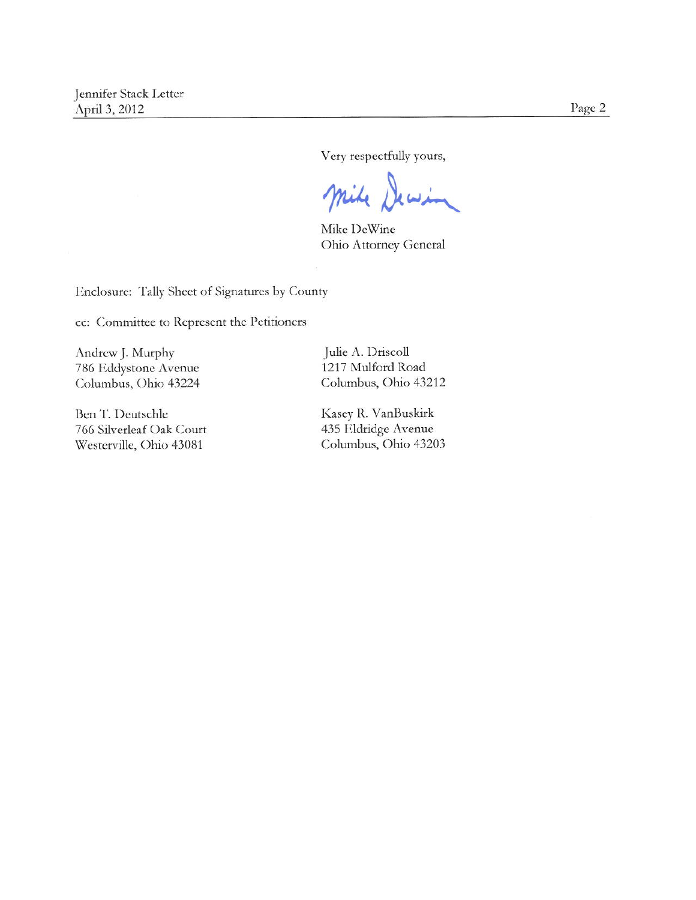Page 2

Very respectfully yours,

 $\mathbf{r}$ 

Mike DeWine Ohio Attorney General

Enclosure: Tally Sheet of Signatures by County

cc: Committee to Represent the Petitioners

Andrew J. Murphy 786 Eddystone Avenue Columbus, Ohio 43224

Ben T. Deutschle 766 Silverleaf Oak Court Westerville, Ohio 43081

Julie A. Driscoll 1217 Mulford Road Columbus, Ohio 43212

Kasey R. VanBuskirk 435 Eldridge Avenue Columbus, Ohio 43203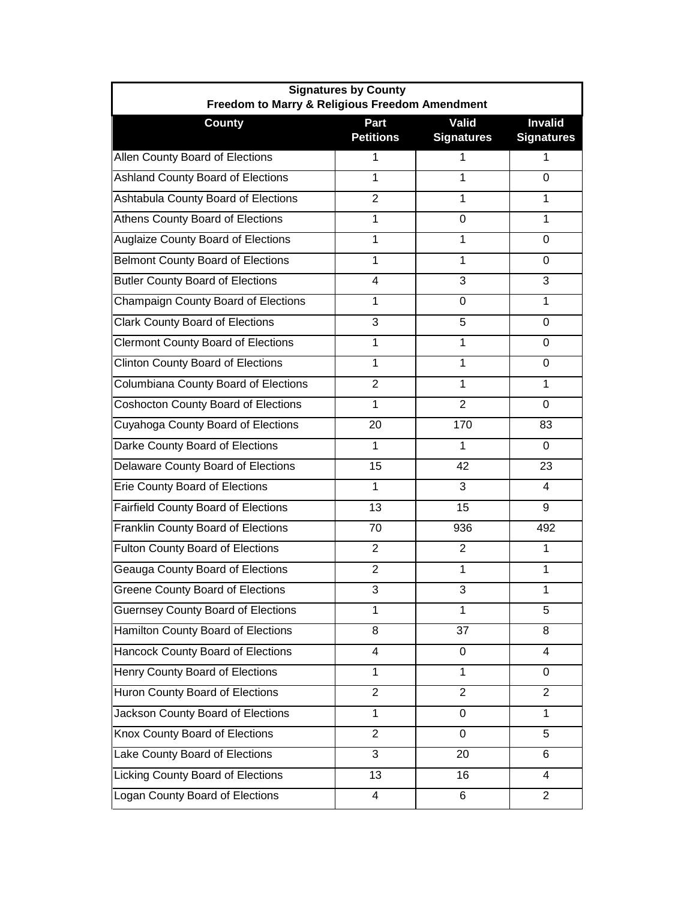| <b>Signatures by County</b><br>Freedom to Marry & Religious Freedom Amendment |                          |                            |                                     |  |
|-------------------------------------------------------------------------------|--------------------------|----------------------------|-------------------------------------|--|
| <b>County</b>                                                                 | Part<br><b>Petitions</b> | Valid<br><b>Signatures</b> | <b>Invalid</b><br><b>Signatures</b> |  |
| Allen County Board of Elections                                               |                          |                            |                                     |  |
| Ashland County Board of Elections                                             | 1                        | 1                          | $\Omega$                            |  |
| Ashtabula County Board of Elections                                           | $\overline{2}$           | 1                          | 1                                   |  |
| Athens County Board of Elections                                              | 1                        | 0                          | 1                                   |  |
| <b>Auglaize County Board of Elections</b>                                     | 1                        | 1                          | $\overline{0}$                      |  |
| <b>Belmont County Board of Elections</b>                                      | $\mathbf{1}$             | 1                          | $\Omega$                            |  |
| <b>Butler County Board of Elections</b>                                       | 4                        | 3                          | 3                                   |  |
| Champaign County Board of Elections                                           | 1                        | 0                          | 1                                   |  |
| <b>Clark County Board of Elections</b>                                        | 3                        | 5                          | 0                                   |  |
| <b>Clermont County Board of Elections</b>                                     | 1                        | 1                          | $\Omega$                            |  |
| <b>Clinton County Board of Elections</b>                                      | $\mathbf{1}$             | 1                          | 0                                   |  |
| Columbiana County Board of Elections                                          | $\overline{2}$           | 1                          | $\mathbf{1}$                        |  |
| <b>Coshocton County Board of Elections</b>                                    | 1                        | $\overline{2}$             | 0                                   |  |
| Cuyahoga County Board of Elections                                            | 20                       | 170                        | 83                                  |  |
| Darke County Board of Elections                                               | 1                        | 1                          | 0                                   |  |
| Delaware County Board of Elections                                            | 15                       | 42                         | 23                                  |  |
| <b>Erie County Board of Elections</b>                                         | 1                        | 3                          | 4                                   |  |
| Fairfield County Board of Elections                                           | 13                       | 15                         | 9                                   |  |
| Franklin County Board of Elections                                            | 70                       | 936                        | 492                                 |  |
| <b>Fulton County Board of Elections</b>                                       | $\overline{2}$           | 2                          | 1                                   |  |
| Geauga County Board of Elections                                              | $\overline{2}$           | 1                          | 1                                   |  |
| <b>Greene County Board of Elections</b>                                       | 3                        | 3                          | 1                                   |  |
| <b>Guernsey County Board of Elections</b>                                     | 1                        | 1                          | 5                                   |  |
| Hamilton County Board of Elections                                            | 8                        | 37                         | 8                                   |  |
| Hancock County Board of Elections                                             | 4                        | 0                          | 4                                   |  |
| Henry County Board of Elections                                               | 1                        | 1                          | 0                                   |  |
| Huron County Board of Elections                                               | $\overline{2}$           | $\overline{2}$             | $\overline{2}$                      |  |
| Jackson County Board of Elections                                             | $\mathbf{1}$             | 0                          | $\mathbf{1}$                        |  |
| Knox County Board of Elections                                                | $\overline{2}$           | 0                          | $\overline{5}$                      |  |
| Lake County Board of Elections                                                | 3                        | 20                         | 6                                   |  |
| Licking County Board of Elections                                             | 13                       | 16                         | $\overline{4}$                      |  |
| Logan County Board of Elections                                               | $\overline{\mathbf{4}}$  | 6                          | $\overline{2}$                      |  |